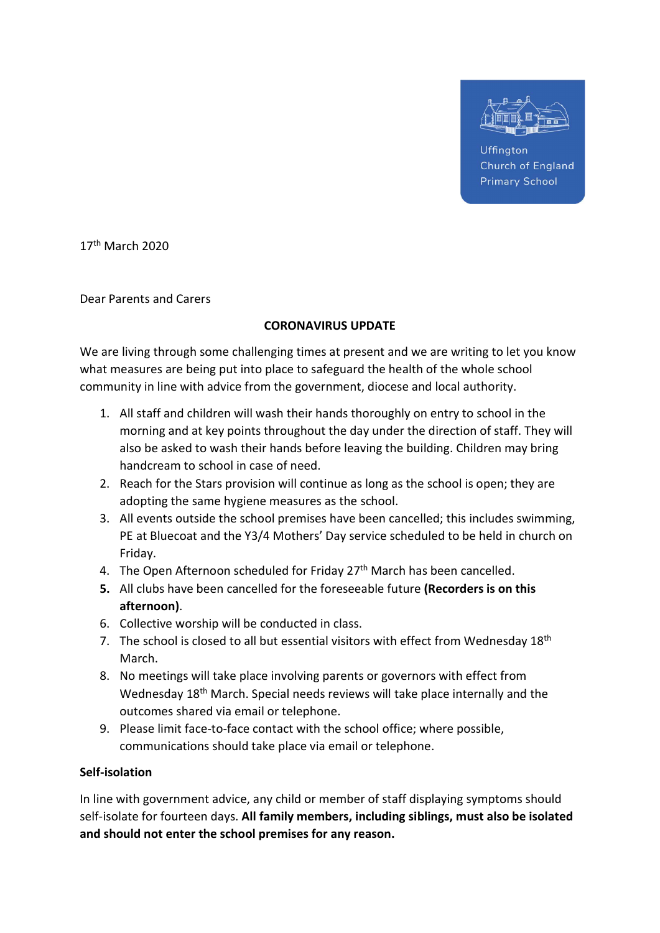

**Uffinaton Church of England Primary School** 

17th March 2020

Dear Parents and Carers

## CORONAVIRUS UPDATE

We are living through some challenging times at present and we are writing to let you know what measures are being put into place to safeguard the health of the whole school community in line with advice from the government, diocese and local authority.

- 1. All staff and children will wash their hands thoroughly on entry to school in the morning and at key points throughout the day under the direction of staff. They will also be asked to wash their hands before leaving the building. Children may bring handcream to school in case of need.
- 2. Reach for the Stars provision will continue as long as the school is open; they are adopting the same hygiene measures as the school.
- 3. All events outside the school premises have been cancelled; this includes swimming, PE at Bluecoat and the Y3/4 Mothers' Day service scheduled to be held in church on Friday.
- 4. The Open Afternoon scheduled for Friday 27<sup>th</sup> March has been cancelled.
- 5. All clubs have been cancelled for the foreseeable future (Recorders is on this afternoon).
- 6. Collective worship will be conducted in class.
- 7. The school is closed to all but essential visitors with effect from Wednesday  $18<sup>th</sup>$ March.
- 8. No meetings will take place involving parents or governors with effect from Wednesday 18<sup>th</sup> March. Special needs reviews will take place internally and the outcomes shared via email or telephone.
- 9. Please limit face-to-face contact with the school office; where possible, communications should take place via email or telephone.

## Self-isolation

In line with government advice, any child or member of staff displaying symptoms should self-isolate for fourteen days. All family members, including siblings, must also be isolated and should not enter the school premises for any reason.